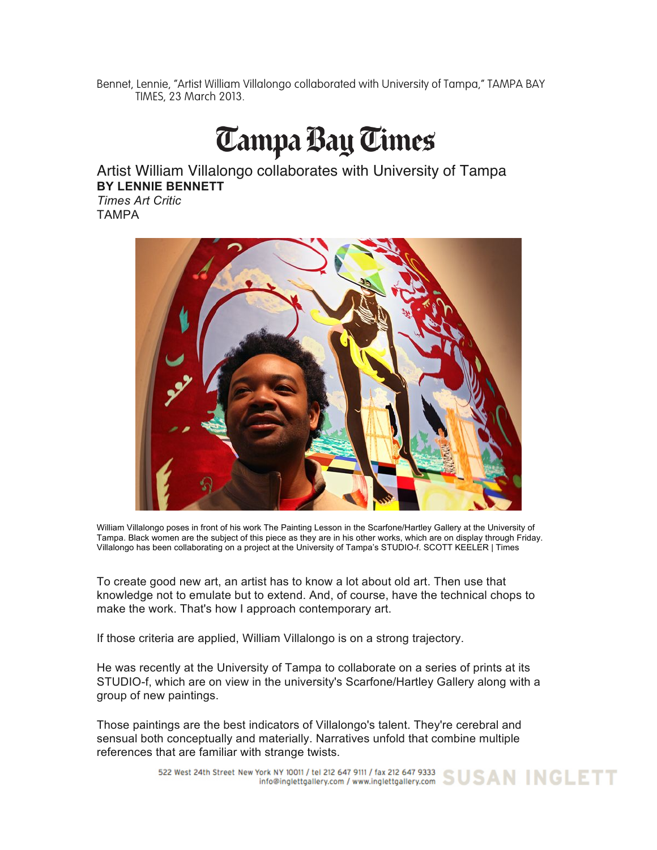Bennet, Lennie, "Artist William Villalongo collaborated with University of Tampa," TAMPA BAY TIMES, 23 March 2013.

## **Tampa Bay Times**

Artist William Villalongo collaborates with University of Tampa **BY LENNIE BENNETT** *Times Art Critic*

TAMPA



William Villalongo poses in front of his work The Painting Lesson in the Scarfone/Hartley Gallery at the University of Tampa. Black women are the subject of this piece as they are in his other works, which are on display through Friday. Villalongo has been collaborating on a project at the University of Tampa's STUDIO-f. SCOTT KEELER | Times

To create good new art, an artist has to know a lot about old art. Then use that knowledge not to emulate but to extend. And, of course, have the technical chops to make the work. That's how I approach contemporary art.

If those criteria are applied, William Villalongo is on a strong trajectory.

He was recently at the University of Tampa to collaborate on a series of prints at its STUDIO-f, which are on view in the university's Scarfone/Hartley Gallery along with a group of new paintings.

Those paintings are the best indicators of Villalongo's talent. They're cerebral and sensual both conceptually and materially. Narratives unfold that combine multiple references that are familiar with strange twists.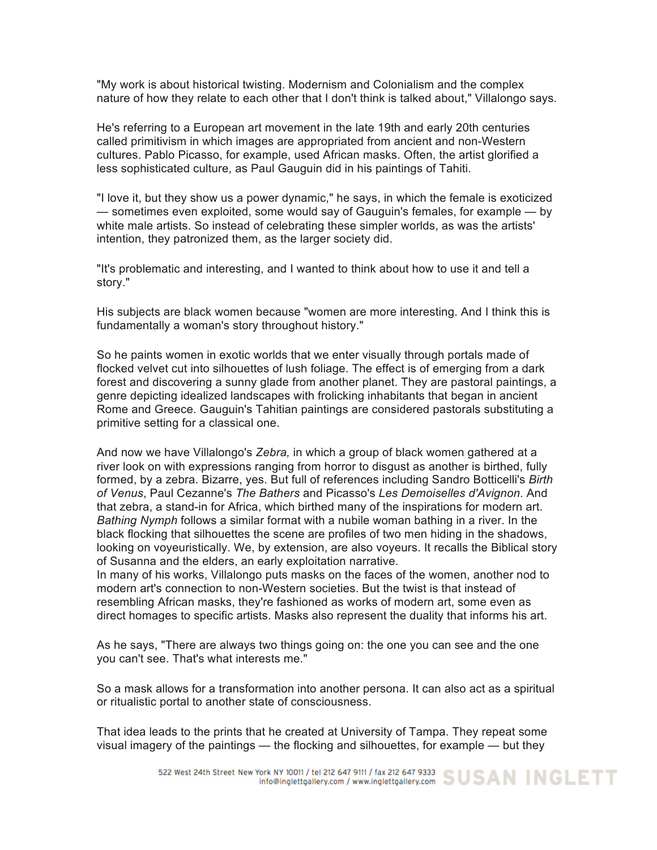"My work is about historical twisting. Modernism and Colonialism and the complex nature of how they relate to each other that I don't think is talked about," Villalongo says.

He's referring to a European art movement in the late 19th and early 20th centuries called primitivism in which images are appropriated from ancient and non-Western cultures. Pablo Picasso, for example, used African masks. Often, the artist glorified a less sophisticated culture, as Paul Gauguin did in his paintings of Tahiti.

"I love it, but they show us a power dynamic," he says, in which the female is exoticized — sometimes even exploited, some would say of Gauguin's females, for example — by white male artists. So instead of celebrating these simpler worlds, as was the artists' intention, they patronized them, as the larger society did.

"It's problematic and interesting, and I wanted to think about how to use it and tell a story."

His subjects are black women because "women are more interesting. And I think this is fundamentally a woman's story throughout history."

So he paints women in exotic worlds that we enter visually through portals made of flocked velvet cut into silhouettes of lush foliage. The effect is of emerging from a dark forest and discovering a sunny glade from another planet. They are pastoral paintings, a genre depicting idealized landscapes with frolicking inhabitants that began in ancient Rome and Greece. Gauguin's Tahitian paintings are considered pastorals substituting a primitive setting for a classical one.

And now we have Villalongo's *Zebra,* in which a group of black women gathered at a river look on with expressions ranging from horror to disgust as another is birthed, fully formed, by a zebra. Bizarre, yes. But full of references including Sandro Botticelli's *Birth of Venus*, Paul Cezanne's *The Bathers* and Picasso's *Les Demoiselles d'Avignon*. And that zebra, a stand-in for Africa, which birthed many of the inspirations for modern art. *Bathing Nymph* follows a similar format with a nubile woman bathing in a river. In the black flocking that silhouettes the scene are profiles of two men hiding in the shadows, looking on voyeuristically. We, by extension, are also voyeurs. It recalls the Biblical story of Susanna and the elders, an early exploitation narrative.

In many of his works, Villalongo puts masks on the faces of the women, another nod to modern art's connection to non-Western societies. But the twist is that instead of resembling African masks, they're fashioned as works of modern art, some even as direct homages to specific artists. Masks also represent the duality that informs his art.

As he says, "There are always two things going on: the one you can see and the one you can't see. That's what interests me."

So a mask allows for a transformation into another persona. It can also act as a spiritual or ritualistic portal to another state of consciousness.

That idea leads to the prints that he created at University of Tampa. They repeat some visual imagery of the paintings — the flocking and silhouettes, for example — but they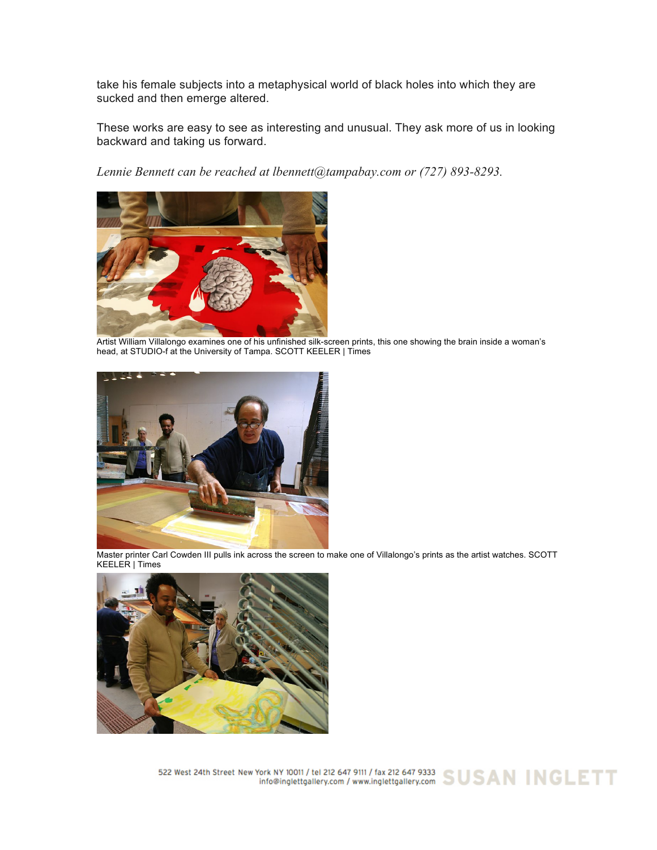take his female subjects into a metaphysical world of black holes into which they are sucked and then emerge altered.

These works are easy to see as interesting and unusual. They ask more of us in looking backward and taking us forward.

*Lennie Bennett can be reached at lbennett@tampabay.com or (727) 893-8293.*



Artist William Villalongo examines one of his unfinished silk-screen prints, this one showing the brain inside a woman's head, at STUDIO-f at the University of Tampa. SCOTT KEELER | Times



Master printer Carl Cowden III pulls ink across the screen to make one of Villalongo's prints as the artist watches. SCOTT KEELER | Times